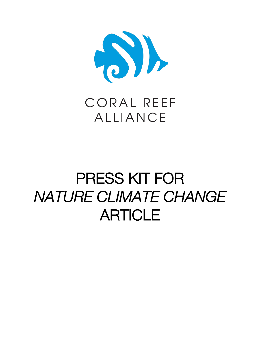

# CORAL REEF **ALLIANCE**

# PRESS KIT FOR *NATURE CLIMATE CHANGE*  **ARTICLE**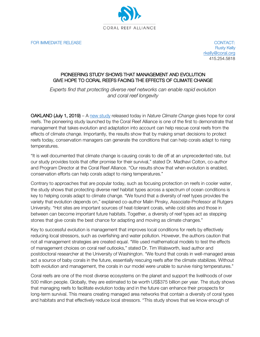

FOR IMMEDIATE RELEASE CONTACT:

Rusty Kelly rkelly@coral.org 415.254.5818

#### PIONEERING STUDY SHOWS THAT MANAGEMENT AND EVOLUTION GIVE HOPE TO CORAL REEFS FACING THE EFFECTS OF CLIMATE CHANGE

*Experts find that protecting diverse reef networks can enable rapid evolution and coral reef longevity*

OAKLAND (July 1, 2019) – A new study released today in *Nature Climate Change* gives hope for coral reefs. The pioneering study launched by the Coral Reef Alliance is one of the first to demonstrate that management that takes evolution and adaptation into account can help rescue coral reefs from the effects of climate change. Importantly, the results show that by making smart decisions to protect reefs today, conservation managers can generate the conditions that can help corals adapt to rising temperatures.

"It is well documented that climate change is causing corals to die off at an unprecedented rate, but our study provides tools that offer promise for their survival," stated Dr. Madhavi Colton, co-author and Program Director at the Coral Reef Alliance. "Our results show that when evolution is enabled, conservation efforts can help corals adapt to rising temperatures."

Contrary to approaches that are popular today, such as focusing protection on reefs in cooler water, the study shows that protecting diverse reef habitat types across a spectrum of ocean conditions is key to helping corals adapt to climate change. "We found that a diversity of reef types provides the variety that evolution depends on," explained co-author Malin Pinsky, Associate-Professor at Rutgers University. "Hot sites are important sources of heat-tolerant corals, while cold sites and those in between can become important future habitats. Together, a diversity of reef types act as stepping stones that give corals the best chance for adapting and moving as climate changes."

Key to successful evolution is management that improves local conditions for reefs by effectively reducing local stressors, such as overfishing and water pollution. However, the authors caution that not all management strategies are created equal. "We used mathematical models to test the effects of management choices on coral reef outlooks," stated Dr. Tim Walsworth, lead author and postdoctoral researcher at the University of Washington. "We found that corals in well-managed areas act a source of baby corals in the future, essentially rescuing reefs after the climate stabilizes. Without both evolution and management, the corals in our model were unable to survive rising temperatures."

Coral reefs are one of the most diverse ecosystems on the planet and support the livelihoods of over 500 million people. Globally, they are estimated to be worth US\$375 billion per year. The study shows that managing reefs to facilitate evolution today and in the future can enhance their prospects for long-term survival. This means creating managed area networks that contain a diversity of coral types and habitats and that effectively reduce local stressors. "This study shows that we know enough of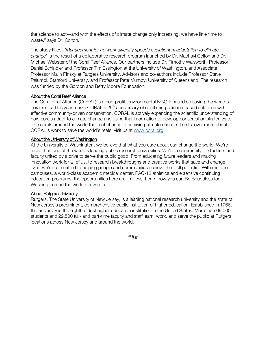the science to act—and with the effects of climate change only increasing, we have little time to waste," says Dr. Colton.

The study titled, *"Management for network diversity speeds evolutionary adaptation to climate change"* is the result of a collaborative research program launched by Dr. Madhavi Colton and Dr. Michael Webster of the Coral Reef Alliance. Our partners include Dr. Timothy Walsworth, Professor Daniel Schindler and Professor Tim Essington at the University of Washington, and Associate Professor Malin Pinsky at Rutgers University. Advisors and co-authors include Professor Steve Palumbi, Stanford University, and Professor Pete Mumby, University of Queensland. The research was funded by the Gordon and Betty Moore Foundation.

#### About the Coral Reef Alliance

The Coral Reef Alliance (CORAL) is a non-profit, environmental NGO focused on saving the world's coral reefs. This year marks CORAL's 25<sup>th</sup> anniversary of combining science-based solutions with effective community-driven conservation. CORAL is actively expanding the scientific understanding of how corals adapt to climate change and using that information to develop conservation strategies to give corals around the world the best chance of surviving climate change. To discover more about CORAL's work to save the world's reefs, visit us at www.coral.org.

#### About the University of Washington

At the University of Washington, we believe that what you care about can change the world. We're more than one of the world's leading public research universities: We're a community of students and faculty united by a drive to serve the public good. From educating future leaders and making innovation work for all of us, to research breakthroughs and creative works that save and change lives, we're committed to helping people and communities achieve their full potential. With multiple campuses, a world-class academic medical center, PAC-12 athletics and extensive continuing education programs, the opportunities here are limitless. Learn how you can Be Boundless for Washington and the world at uw.edu.

#### About Rutgers University

Rutgers, The State University of New Jersey, is a leading national research university and the state of New Jersey's preeminent, comprehensive public institution of higher education. Established in 1766, the university is the eighth oldest higher education institution in the United States. More than 69,000 students and 22,500 full- and part-time faculty and staff learn, work, and serve the public at Rutgers locations across New Jersey and around the world.

*###*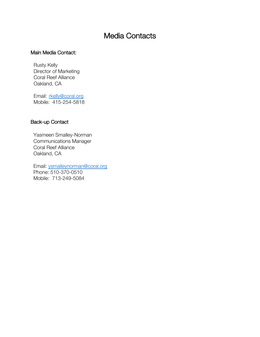### Media Contacts

### Main Media Contact:

Rusty Kelly Director of Marketing Coral Reef Alliance Oakland, CA

Email: rkelly@coral.org Mobile: 415-254-5818

### Back-up Contact

Yasmeen Smalley-Norman Communications Manager Coral Reef Alliance Oakland, CA

Email: ysmalleynorman@coral.org Phone: 510-370-0510 Mobile: 713-249-5084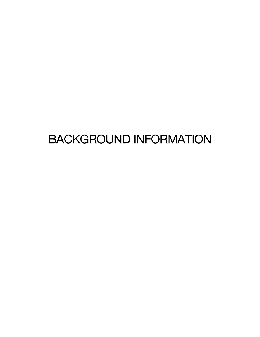## BACKGROUND INFORMATION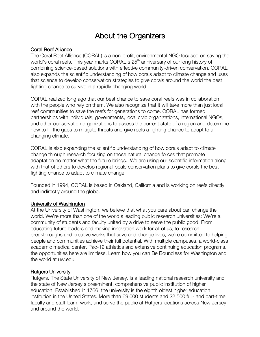### About the Organizers

### Coral Reef Alliance

The Coral Reef Alliance (CORAL) is a non-profit, environmental NGO focused on saving the world's coral reefs. This year marks CORAL's 25<sup>th</sup> anniversary of our long history of combining science-based solutions with effective community-driven conservation. CORAL also expands the scientific understanding of how corals adapt to climate change and uses that science to develop conservation strategies to give corals around the world the best fighting chance to survive in a rapidly changing world.

CORAL realized long ago that our best chance to save coral reefs was in collaboration with the people who rely on them. We also recognize that it will take more than just local reef communities to save the reefs for generations to come. CORAL has formed partnerships with individuals, governments, local civic organizations, international NGOs, and other conservation organizations to assess the current state of a region and determine how to fill the gaps to mitigate threats and give reefs a fighting chance to adapt to a changing climate.

CORAL is also expanding the scientific understanding of how corals adapt to climate change through research focusing on those natural change forces that promote adaptation no matter what the future brings. We are using our scientific information along with that of others to develop regional-scale conservation plans to give corals the best fighting chance to adapt to climate change.

Founded in 1994, CORAL is based in Oakland, California and is working on reefs directly and indirectly around the globe.

#### University of Washington

At the University of Washington, we believe that what you care about can change the world. We're more than one of the world's leading public research universities: We're a community of students and faculty united by a drive to serve the public good. From educating future leaders and making innovation work for all of us, to research breakthroughs and creative works that save and change lives, we're committed to helping people and communities achieve their full potential. With multiple campuses, a world-class academic medical center, Pac-12 athletics and extensive continuing education programs, the opportunities here are limitless. Learn how you can Be Boundless for Washington and the world at uw.edu.

### Rutgers University

Rutgers, The State University of New Jersey, is a leading national research university and the state of New Jersey's preeminent, comprehensive public institution of higher education. Established in 1766, the university is the eighth oldest higher education institution in the United States. More than 69,000 students and 22,500 full- and part-time faculty and staff learn, work, and serve the public at Rutgers locations across New Jersey and around the world.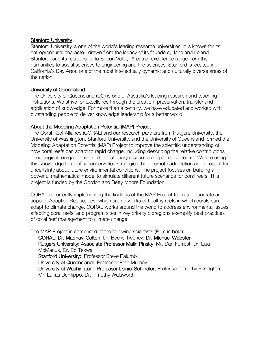### Stanford University

Stanford University is one of the world's leading research universities. It is known for its entrepreneurial character, drawn from the legacy of its founders, Jane and Leland Stanford, and its relationship to Silicon Valley. Areas of excellence range from the humanities to social sciences to engineering and the sciences. Stanford is located in California's Bay Area, one of the most intellectually dynamic and culturally diverse areas of the nation.

### University of Queensland

The University of Queensland (UQ) is one of Australia's leading research and teaching institutions. We strive for excellence through the creation, preservation, transfer and application of knowledge. For more than a century, we have educated and worked with outstanding people to deliver knowledge leadership for a better world.

### About the Modeling Adaptation Potential (MAP) Project

The Coral Reef Alliance (CORAL) and our research partners from Rutgers University, the University of Washington, Stanford University, and the University of Queensland formed the Modeling Adaptation Potential (MAP) Project to improve the scientific understanding of how coral reefs can adapt to rapid change, including describing the relative contributions of ecological reorganization and evolutionary rescue to adaptation potential. We are using this knowledge to identify conservation strategies that promote adaptation and account for uncertainty about future environmental conditions. The project focuses on building a powerful mathematical model to simulate different future scenarios for coral reefs. This project is funded by the Gordon and Betty Moore Foundation.

CORAL is currently implementing the findings of the MAP Project to create, facilitate and support Adaptive Reefscapes, which are networks of healthy reefs in which corals can adapt to climate change. CORAL works around the world to address environmental issues affecting coral reefs, and program sites in key priority bioregions exemplify best practices of coral reef management to climate change.

The MAP Project is comprised of the following scientists (P.I.s in bold):

CORAL: Dr. Madhavi Colton, Dr. Becky Twohey, Dr. Michael Webster Rutgers University: Associate Professor Malin Pinsky, Mr. Dan Forrest, Dr. Lisa McManus, Dr. Ed Tekwa Stanford University: Professor Steve Palumbi University of Queensland: Professor Pete Mumby University of Washington: Professor Daniel Schindler, Professor Timothy Essington, Mr. Lukas DeFilippo, Dr. Timothy Walsworth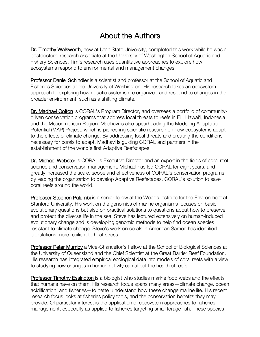### About the Authors

Dr. Timothy Walsworth, now at Utah State University, completed this work while he was a postdoctoral research associate at the University of Washington School of Aquatic and Fishery Sciences. Tim's research uses quantitative approaches to explore how ecosystems respond to environmental and management changes.

Professor Daniel Schindler is a scientist and professor at the School of Aquatic and Fisheries Sciences at the University of Washington. His research takes an ecosystem approach to exploring how aquatic systems are organized and respond to changes in the broader environment, such as a shifting climate.

Dr. Madhavi Colton is CORAL's Program Director, and oversees a portfolio of communitydriven conservation programs that address local threats to reefs in Fiji, Hawaiʻi, Indonesia and the Mesoamerican Region. Madhavi is also spearheading the Modeling Adaptation Potential (MAP) Project, which is pioneering scientific research on how ecosystems adapt to the effects of climate change. By addressing local threats and creating the conditions necessary for corals to adapt, Madhavi is guiding CORAL and partners in the establishment of the world's first Adaptive Reefscapes.

Dr. Michael Webster is CORAL's Executive Director and an expert in the fields of coral reef science and conservation management. Michael has led CORAL for eight years, and greatly increased the scale, scope and effectiveness of CORAL's conservation programs by leading the organization to develop Adaptive Reefscapes, CORAL's solution to save coral reefs around the world.

Professor Stephen Palumbi is a senior fellow at the Woods Institute for the Environment at Stanford University. His work on the genomics of marine organisms focuses on basic evolutionary questions but also on practical solutions to questions about how to preserve and protect the diverse life in the sea. Steve has lectured extensively on human-induced evolutionary change and is developing genomic methods to help find ocean species resistant to climate change. Steve's work on corals in American Samoa has identified populations more resilient to heat stress.

Professor Peter Mumby a Vice-Chancellor's Fellow at the School of Biological Sciences at the University of Queensland and the Chief Scientist at the Great Barrier Reef Foundation. His research has integrated empirical ecological data into models of coral reefs with a view to studying how changes in human activity can affect the health of reefs.

Professor Timothy Essington is a biologist who studies marine food webs and the effects that humans have on them. His research focus spans many areas—climate change, ocean acidification, and fisheries—to better understand how these change marine life. His recent research focus looks at fisheries policy tools, and the conservation benefits they may provide. Of particular interest is the application of ecosystem approaches to fisheries management, especially as applied to fisheries targeting small forage fish. These species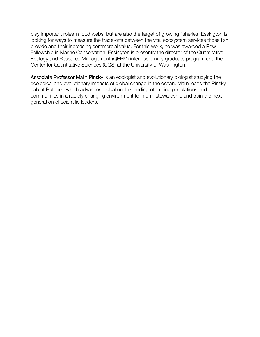play important roles in food webs, but are also the target of growing fisheries. Essington is looking for ways to measure the trade-offs between the vital ecosystem services those fish provide and their increasing commercial value. For this work, he was awarded a Pew Fellowship in Marine Conservation. Essington is presently the director of the Quantitative Ecology and Resource Management (QERM) interdisciplinary graduate program and the Center for Quantitative Sciences (CQS) at the University of Washington.

Associate Professor Malin Pinsky is an ecologist and evolutionary biologist studying the ecological and evolutionary impacts of global change in the ocean. Malin leads the Pinsky Lab at Rutgers, which advances global understanding of marine populations and communities in a rapidly changing environment to inform stewardship and train the next generation of scientific leaders.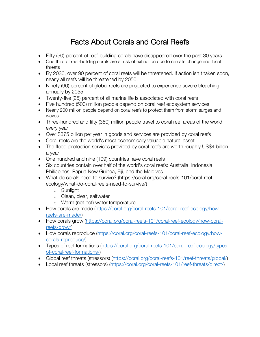### Facts About Corals and Coral Reefs

- Fifty (50) percent of reef-building corals have disappeared over the past 30 years
- One third of reef-building corals are at risk of extinction due to climate change and local threats
- By 2030, over 90 percent of coral reefs will be threatened. If action isn't taken soon, nearly all reefs will be threatened by 2050.
- Ninety (90) percent of global reefs are projected to experience severe bleaching annually by 2055
- Twenty-five (25) percent of all marine life is associated with coral reefs
- Five hundred (500) million people depend on coral reef ecosystem services
- Nearly 200 million people depend on coral reefs to protect them from storm surges and waves
- Three-hundred and fifty (350) million people travel to coral reef areas of the world every year
- Over \$375 billion per year in goods and services are provided by coral reefs
- Coral reefs are the world's most economically valuable natural asset
- The flood-protection services provided by coral reefs are worth roughly US\$4 billion a year
- One hundred and nine (109) countries have coral reefs
- Six countries contain over half of the world's coral reefs: Australia, Indonesia, Philippines, Papua New Guinea, Fiji, and the Maldives
- What do corals need to survive? (https://coral.org/coral-reefs-101/coral-reefecology/what-do-coral-reefs-need-to-survive/)
	- o Sunlight
	- o Clean, clear, saltwater
	- o Warm (not hot) water temperature
- How corals are made (https://coral.org/coral-reefs-101/coral-reef-ecology/howreefs-are-made/)
- How corals grow (https://coral.org/coral-reefs-101/coral-reef-ecology/how-coralreefs-grow/)
- How corals reproduce (https://coral.org/coral-reefs-101/coral-reef-ecology/howcorals-reproduce/)
- Types of reef formations (https://coral.org/coral-reefs-101/coral-reef-ecology/typesof-coral-reef-formations/)
- Global reef threats (stressors) (https://coral.org/coral-reefs-101/reef-threats/global/)
- Local reef threats (stressors) (https://coral.org/coral-reefs-101/reef-threats/direct/)